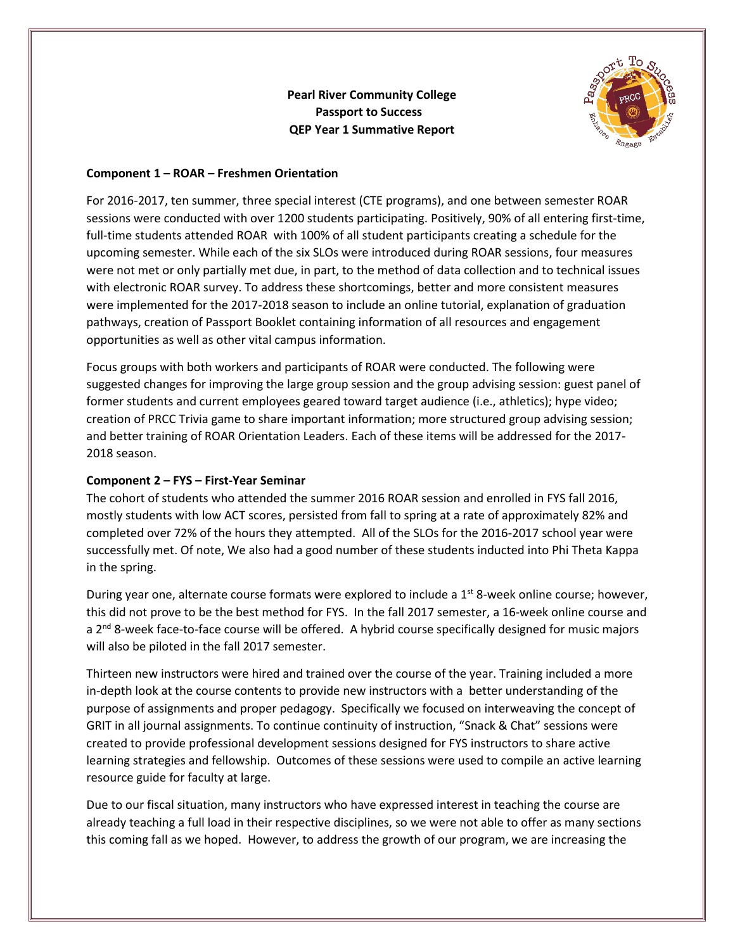**Pearl River Community College Passport to Success QEP Year 1 Summative Report**



## **Component 1 – ROAR – Freshmen Orientation**

For 2016-2017, ten summer, three special interest (CTE programs), and one between semester ROAR sessions were conducted with over 1200 students participating. Positively, 90% of all entering first-time, full-time students attended ROAR with 100% of all student participants creating a schedule for the upcoming semester. While each of the six SLOs were introduced during ROAR sessions, four measures were not met or only partially met due, in part, to the method of data collection and to technical issues with electronic ROAR survey. To address these shortcomings, better and more consistent measures were implemented for the 2017-2018 season to include an online tutorial, explanation of graduation pathways, creation of Passport Booklet containing information of all resources and engagement opportunities as well as other vital campus information.

Focus groups with both workers and participants of ROAR were conducted. The following were suggested changes for improving the large group session and the group advising session: guest panel of former students and current employees geared toward target audience (i.e., athletics); hype video; creation of PRCC Trivia game to share important information; more structured group advising session; and better training of ROAR Orientation Leaders. Each of these items will be addressed for the 2017- 2018 season.

## **Component 2 – FYS – First-Year Seminar**

The cohort of students who attended the summer 2016 ROAR session and enrolled in FYS fall 2016, mostly students with low ACT scores, persisted from fall to spring at a rate of approximately 82% and completed over 72% of the hours they attempted. All of the SLOs for the 2016-2017 school year were successfully met. Of note, We also had a good number of these students inducted into Phi Theta Kappa in the spring.

During year one, alternate course formats were explored to include a 1<sup>st</sup> 8-week online course; however, this did not prove to be the best method for FYS. In the fall 2017 semester, a 16-week online course and a 2<sup>nd</sup> 8-week face-to-face course will be offered. A hybrid course specifically designed for music majors will also be piloted in the fall 2017 semester.

Thirteen new instructors were hired and trained over the course of the year. Training included a more in-depth look at the course contents to provide new instructors with a better understanding of the purpose of assignments and proper pedagogy. Specifically we focused on interweaving the concept of GRIT in all journal assignments. To continue continuity of instruction, "Snack & Chat" sessions were created to provide professional development sessions designed for FYS instructors to share active learning strategies and fellowship. Outcomes of these sessions were used to compile an active learning resource guide for faculty at large.

Due to our fiscal situation, many instructors who have expressed interest in teaching the course are already teaching a full load in their respective disciplines, so we were not able to offer as many sections this coming fall as we hoped. However, to address the growth of our program, we are increasing the